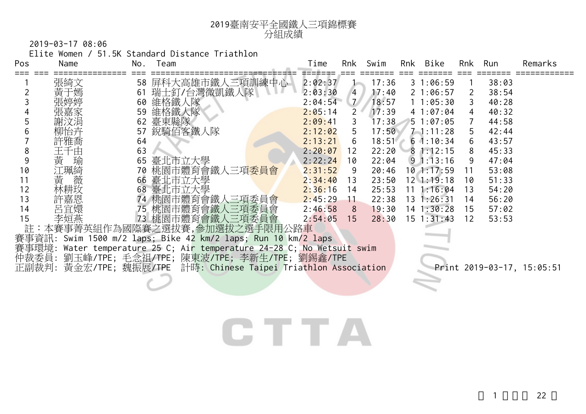

2019-03-17 08:06

Elite Women / 51.5K Standard Distance Triathlon

| Pos | Name     | No. | Team                                                                                | Time    | Rnk            | Swim  | Rnk | Bike           | Rnk          | Run   | Remarks                    |
|-----|----------|-----|-------------------------------------------------------------------------------------|---------|----------------|-------|-----|----------------|--------------|-------|----------------------------|
|     | 張綺文      |     | 58 屏科大高雄市鐵人三項訓練中心                                                                   | 2:02:37 |                | 17:36 |     | 31:06:59       |              | 38:03 |                            |
|     | 黃于嫣      |     | 61 瑞士釘/台灣微凱鐵人隊                                                                      | 2:03:30 | 4              | 17:40 |     | 21:06:57       | <sup>2</sup> | 38:54 |                            |
|     |          |     | 60 維格鐵人隊                                                                            | 2:04:54 | $\mathcal{I}$  | 18:57 |     | 11:05:30       | 3            | 40:28 |                            |
|     | 張嘉家      | 59  | 維格鐵人隊                                                                               | 2:05:14 | $2^{\circ}$    | 17:39 |     | 41:07:04       | 4            | 40:32 |                            |
|     | 謝汶涓      | 62  | 臺東縣隊                                                                                | 2:09:41 | $\mathbf{3}$   | 17:38 |     | 5 1:07:05      |              | 44:58 |                            |
|     | 铆怡卉      | 57  | 銳騎佰客鐵人隊                                                                             | 2:12:02 | 5              | 17:50 |     | $7 - 1:11:28$  | 5            | 42:44 |                            |
|     | 許雅喬      | 64  |                                                                                     | 2:13:21 | 6              | 18:51 |     | $6 \t1:10:34$  | 6            | 43:57 |                            |
| 8   | 千由<br>王] | 63  |                                                                                     | 2:20:07 | 12             | 22:20 |     | 81:12:15       | 8            | 45:33 |                            |
| 9   | 黃 瑜      | 65  | 臺北市立大學                                                                              | 2:22:24 | 10             | 22:04 |     | $9 \t1:13:16$  | 9            | 47:04 |                            |
| 10  | 江珮綺      |     | 70 桃園市體育會鐵人三項委員會                                                                    | 2:31:52 | -9             | 20:46 |     | 101:17:59      | 11           | 53:08 |                            |
| 11  | 黃<br>薇   |     | 66 臺北市立大學                                                                           | 2:34:40 | 13             | 23:50 |     | $12 \t1:19:18$ | 10           | 51:33 |                            |
| 12  | 林耕玫      |     | 68 臺北市立大學                                                                           | 2:36:16 | 14             | 25:53 |     | $11 \t1:16:04$ | 13           | 54:20 |                            |
| 13  | 許嘉恩      |     | 74 桃園市體育會鐵人三項委員會                                                                    | 2:45:29 | 11             | 22:38 |     | $13 \t1:26:31$ | 14           | 56:20 |                            |
| 14  | 呂宜嬛      |     | 75 桃園市體育會鐵人三項委員會                                                                    | 2:46:58 | 8 <sup>8</sup> | 19:30 |     | $14$ 1:30:28   | 15           | 57:02 |                            |
| 15  | 李姮燕      |     | 73 桃園市體育會鐵人三項委員會                                                                    | 2:54:05 | 15             | 28:30 |     | $15 \t1:31:43$ | 12           | 53:53 |                            |
| 註   |          |     | :本賽事菁英組作為國際賽之選拔賽,參加選拔之選手限用公路車                                                       |         |                |       |     |                |              |       |                            |
|     |          |     | 賽事資訊: Swim 1500 m/2 laps; Bike 42 km/2 laps; Run 10 km/2 laps                       |         |                |       |     |                |              |       |                            |
|     |          |     | 事環境: Water temperature 25 C; Ai <mark>r temperature 24-28 C; No Wetsuit swim</mark> |         |                |       |     |                |              |       |                            |
|     |          |     | 仲裁委員: 劉玉峰/TPE; 毛念祖/TPE; 陳東波/TPE; 李新生/TPE; 劉錫鑫/TPE                                   |         |                |       |     |                |              |       |                            |
|     |          |     | 正副裁判: 黃金宏/TPE; 魏振展/TPE 計時: Chinese Taipei Triathlon Association                     |         |                |       |     |                |              |       | Print 2019-03-17, 15:05:51 |
|     |          |     |                                                                                     |         |                |       |     |                |              |       |                            |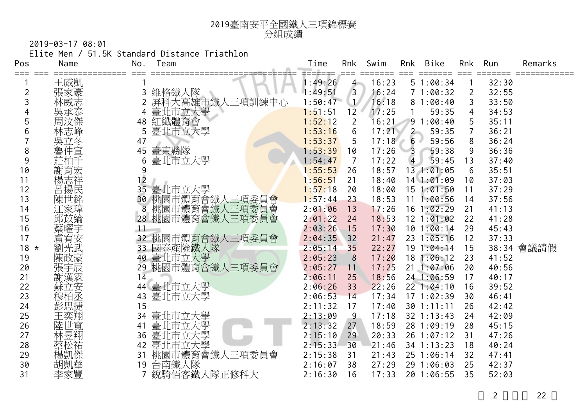

2019-03-17 08:01

Elite Men / 51.5K Standard Distance Triathlon

| Pos    | Name       | No. | Team                           | Time    | Rnk            | Swim  | Rnk            | Bike           | Rnk | Run   | Remarks    |
|--------|------------|-----|--------------------------------|---------|----------------|-------|----------------|----------------|-----|-------|------------|
|        | 王威凱        |     |                                | 1:49:26 | $4 -$          | 16:23 |                | 51:00:34       |     | 32:30 |            |
| 2      | 張家豪        | 3   | 維格鐵人隊                          | 1:49:51 | $\overline{3}$ | 16:24 |                | 71:00:32       | 2   | 32:55 |            |
| 3      | 林威志        |     | 屏科大高雄市鐵人三項訓練中心                 | 1:50:47 |                | 16:18 |                | 81:00:40       | 3   | 33:50 |            |
|        | 吳承泰        |     | 臺北市立大學                         | 1:51:51 | 12             | 17:25 |                | 59:35          | 4   | 34:53 |            |
|        | 周汶傑        | 48  | 紅纖體育會                          | 1:52:12 | $\overline{2}$ | 16:21 |                | 91:00:40       |     | 35:11 |            |
| 6      | 林志峰        | 5   | 臺北市立大學                         | 1:53:16 | 6              | 17:21 | $2 -$          | 59:35          |     | 36:21 |            |
|        | 吳立冬        | 47  |                                | 1:53:37 | 5              | 17:18 | $6 -$          | 59:56          | 8   | 36:24 |            |
| 8      | 魯仲宣        | 45  | 臺東縣隊                           | 1:53:39 | 10             | 17:26 | 3              | 59:38          | 9   | 36:36 |            |
| 9      |            | 6   | 臺北市立大學                         | 1:54:47 | $\overline{7}$ | 17:22 | $\overline{4}$ | 59:45          | 13  | 37:40 |            |
| 10     | 謝育宏        | 9   |                                | 1:55:53 | 26             | 18:57 |                | 13 1:01:05     | 6   | 35:51 |            |
| 11     | 楊志祥        | 12  |                                | 1:56:51 | 21             | 18:40 |                | $14$ 1:01:09   | 10  | 37:03 |            |
| 12     | 呂揚民        | 35  | 臺北市立大學                         | 1:57:18 | 20             | 18:00 |                | $15 \t1:01:50$ | 11  | 37:29 |            |
| 13     | 陳世銘        | 30  | 机園市體育會鐵人三項委員會<br>桃園市體育會鐵人三項委員會 | 1:57:44 | 23             | 18:53 |                | $11 \t1:00:56$ | 14  | 37:56 |            |
| 14     | 江家瑋        | 8   |                                | 2:01:06 | 13             | 17:26 |                | $16$ 1:02:29   | 21  | 41:13 |            |
| 15     | 邱苡綸        | 28  | 桃園市體育會鐵人三項委員會                  | 2:01:22 | 24             | 18:53 |                | 12 1:01:02     | 22  | 41:28 |            |
| 16     | 蔡曜宇        | 11  |                                | 2:03:26 | 15             | 17:30 |                | 101:00:14      | 29  | 45:43 |            |
| 17     | 盧宥安        |     | 32 桃園市體育會鐵人三項委員會               | 2:04:35 | 32             | 21:47 |                | $23 \t1:05:16$ | 12  | 37:33 |            |
| $18 *$ | 劉光武        |     | 33 國泰產險鐵人隊                     | 2:05:14 | 35             | 22:27 |                | 19 1:04:14     | 15  |       | 38:34 會議請假 |
| 19     | 陳政豪        |     | 40 臺北市立大學                      | 2:05:23 | 8              | 17:20 |                | 18 1:06:12     | 23  | 41:52 |            |
| 20     | 張宇辰        | 29  | 桃園市體育會鐵人三項委員會                  | 2:05:27 | 11             | 17:25 |                | 211:07:06      | 20  | 40:56 |            |
| 21     | 謝漢霖        | 14  |                                | 2:06:11 | 25             | 18:56 |                | 24 1:06:59     | 17  | 40:17 |            |
| 22     | 蘇立安<br>穆柏丞 |     | 44 臺北市立大學                      | 2:06:26 | 33             | 22:26 |                | 221:04:10      | 16  | 39:52 |            |
| 23     |            | 43  | 臺北市立大學                         | 2:06:53 | 14             | 17:34 |                | 171:02:39      | 30  | 46:41 |            |
| 24     | 彭思捷        | 15  |                                | 2:11:32 | 17             | 17:40 |                | 30 1:11:11     | 26  | 42:42 |            |
| 25     | 王奕翔        | 34  | 臺北市立大學                         | 2:13:09 | 9              | 17:18 |                | $32$ 1:13:43   | 24  | 42:09 |            |
| 26     | 陸世寬        | 41  | 臺北市立大學                         | 2:13:32 | 27             | 18:59 |                | 28 1:09:19     | 28  | 45:15 |            |
| 27     | 林昱翔        | 36  | 臺北市立大學                         | 2:15:10 | 29             | 20:33 |                | 26 1:07:12     | 31  | 47:26 |            |
| 28     | 祭松祐        | 42  | 臺北市立大學                         | 2:15:33 | 30             | 21:46 |                | 34 1:13:23     | 18  | 40:24 |            |
| 29     | 楊凱傑        | 31  | 桃園市體育會鐵人三項委員會                  | 2:15:38 | 31             | 21:43 |                | 25 1:06:14     | 32  | 47:41 |            |
| 30     | 胡凱華        | 19  | 台南鐵人隊                          | 2:16:07 | 38             | 27:29 |                | 29 1:06:03     | 25  | 42:37 |            |
| 31     | 李家豐        |     | 銳騎佰客鐵人隊正修科大                    | 2:16:30 | 16             | 17:33 |                | 20 1:06:55     | 35  | 52:03 |            |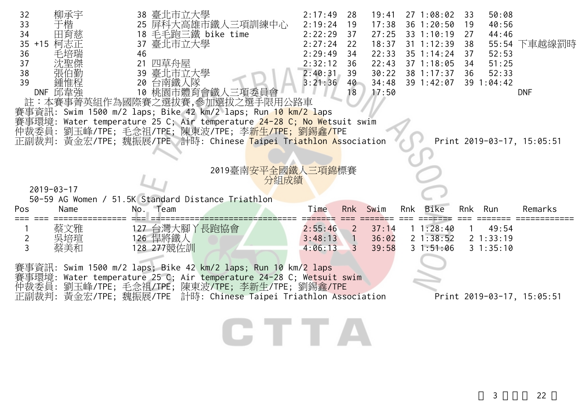| 32<br>33<br>34<br>35 +15 柯志正<br>36<br>37<br>38<br>39 | 柳承宇<br>田育慈<br>毛培瑞<br>DNF 邱韋強<br>註:本賽事菁英組作為國際賽之選拔賽,參加選拔之選手限用公路車                                                                                                                                                                                               | 46 | 38 臺北市立大學<br>25 屏科大高雄市鐵人三項訓練中心<br>18 毛毛跑三鐵 bike time<br>37 臺北市立大學<br>21 四草舟屋<br>39 臺北市立大學<br>20 台南鐵人隊<br>10 桃園市體育會鐵人三項委員會 |                                  |      | 2:17:49<br>2:19:24<br>2:22:29<br>2:27:24<br>2:29:49<br>2:32:12<br>2:40:31<br>3:21:36 | -28<br>19<br>37<br>22<br>34<br>36<br>39<br>40<br>18  | 19:41<br>17:38<br>27:25<br>18:37<br>22:33<br>22:43<br>30:22<br>34:48<br>17:50 | 271:08:02<br>$36 \t1:20:50$<br>33 1:10:19<br>$31 \t1:12:39$<br>$35 \t1:14:24$<br>$37 \t1:18:05$<br>38 1:17:37<br>39 1:42:07 | 33<br>19<br>27<br>38<br>37<br>34<br>36 | 50:08<br>40:56<br>44:46<br>52:53<br>51:25<br>52:33<br>39 1:04:42 | 55:54 下車越線罰時<br><b>DNF</b> |
|------------------------------------------------------|--------------------------------------------------------------------------------------------------------------------------------------------------------------------------------------------------------------------------------------------------------------|----|---------------------------------------------------------------------------------------------------------------------------|----------------------------------|------|--------------------------------------------------------------------------------------|------------------------------------------------------|-------------------------------------------------------------------------------|-----------------------------------------------------------------------------------------------------------------------------|----------------------------------------|------------------------------------------------------------------|----------------------------|
|                                                      | 賽事資訊: Swim 1500 m/2 laps; Bike 42 km/2 laps; Run 10 km/2 laps<br>賽事環境: Water temperature 25 C; Air temperature 24-28 C; No Wetsuit swim                                                                                                                      |    |                                                                                                                           |                                  |      |                                                                                      |                                                      |                                                                               |                                                                                                                             |                                        |                                                                  |                            |
|                                                      | 仲裁委員: 劉玉峰/TPE; 毛念祖/TPE; 陳東波/TPE; 李 <mark>新生/TPE; 劉錫鑫/T</mark> PE<br>正副裁判: 黃金宏/TPE; 魏振展/TPE 計時: Chinese Taipei Triathlon Association                                                                                                                          |    |                                                                                                                           |                                  |      |                                                                                      |                                                      |                                                                               |                                                                                                                             |                                        |                                                                  | Print 2019-03-17, 15:05:51 |
| $2019 - 03 - 17$                                     |                                                                                                                                                                                                                                                              |    |                                                                                                                           | 2019臺南 <mark>安平全國鐵人三項錦</mark> 標賽 | 分組成績 |                                                                                      |                                                      |                                                                               |                                                                                                                             |                                        |                                                                  |                            |
| Pos                                                  | 50-59 AG Women / 51.5K Standard Distance Triathlon<br>Name                                                                                                                                                                                                   |    | No. Team                                                                                                                  |                                  |      | Time                                                                                 | Rnk                                                  | Swim                                                                          | Rnk Bike                                                                                                                    | Rnk                                    | Run                                                              | Remarks                    |
| $\overline{2}$<br>3                                  | 蔡文雅<br>吳培瑄<br>蔡美和                                                                                                                                                                                                                                            |    | 127 台灣大腳丫長跑協會<br>126 悍將鐵人<br>128 277競佐訓                                                                                   |                                  |      | 2:55:46<br>3:48:13<br>4:06:13                                                        | $\overline{2}$<br>$\blacksquare$ 1<br>$\overline{3}$ | 37:14<br>36:02<br>39:58                                                       | 11:28:40<br>21:38:52<br>31:51:06                                                                                            |                                        | 49:54<br>$2 \t1:33:19$<br>31:35:10                               |                            |
|                                                      | 賽事資訊: Swim 1500 m/2 laps; Bike 42 km/2 laps; Run 10 km/2 laps<br>賽事環境: Water temperature 25 C; Air temperature 24-28 C; Wetsuit swim<br>仲裁委員: 劉玉峰/TPE; 毛念祖/TPE; 陳東波/TPE; 李新生/TPE; 劉錫鑫/TPE<br>正副裁判: 黃金宏/TPE; 魏振展/TPE 計時: Chinese Taipei Triathlon Association |    |                                                                                                                           |                                  |      |                                                                                      |                                                      |                                                                               |                                                                                                                             |                                        |                                                                  | Print 2019-03-17, 15:05:51 |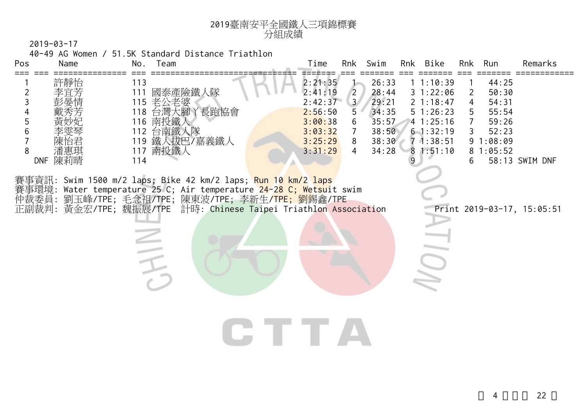

40-49 AG Women / 51.5K Standard Distance Triathlon

| 58:13 SWIM DNF<br>Print 2019-03-17, 15:05:51 |
|----------------------------------------------|
|                                              |
|                                              |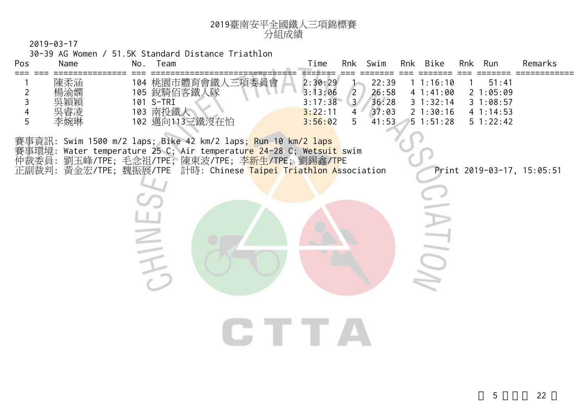

30-39 AG Women / 51.5K Standard Distance Triathlon

CHINE,

| <b>Pos</b> | Name                     | No.                      | eam                                              | Time                                                                    | Rnk                 | Swim                             | Rnk | Bike                                                   | Rnk | Run                                   | Remarks |
|------------|--------------------------|--------------------------|--------------------------------------------------|-------------------------------------------------------------------------|---------------------|----------------------------------|-----|--------------------------------------------------------|-----|---------------------------------------|---------|
|            | 陳柔涵<br>楊渝嫻<br>吳穎穎<br>吳睿凌 | 104<br>105<br>101<br>103 | 桃園市體育會鐵人<br>三項委員會<br>銳騎佰客鐵<br>、隊<br>S-TRI<br>南投鐵 | 2:30:29<br>13:06<br>$\mathsf{R} \cdot \mathsf{L}$<br>3:17:38<br>3:22:11 | 3 <sup>7</sup><br>4 | 22:39<br>26:58<br>36:28<br>37:03 |     | 1:16:10<br>41:41:00<br>$3 \t1:32:14$<br>$2 \; 1:30:16$ |     | 51:41<br>:05:09<br>:08:57<br>41:14:53 |         |
|            | 李婉琳                      | 102                      | 邁向113三鐵沒在怕                                       | 3:56:02                                                                 | b.                  | 41:53                            |     | 51:51:28                                               |     | $5 \t1:22:42$                         |         |

**CTTA** 

賽事資訊: Swim 1500 m/2 laps; Bike 42 km/2 laps; Run 10 km/2 laps 賽事環境: Water temperature 25 C; Air temperatu<mark>re 24-28</mark> C; Wetsu<mark>it</mark> swim 仲裁委員: 劉玉峰/TPE; 毛念祖/TPE; 陳東波/TPE; 李<mark>新生/TPE;</mark> 劉錫鑫/<mark>TP</mark>E 正副裁判: 黃金宏/TPE; 魏振展/TPE 計時: Chinese <mark>Taipei Triathlon As</mark>sociation Print 2019-03-17, 15:05:51

 $\equiv$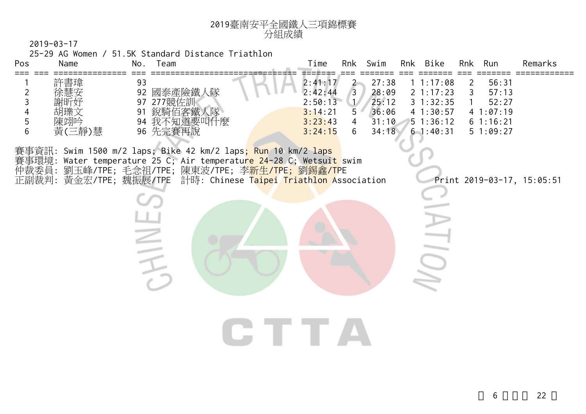

25-29 AG Women / 51.5K Standard Distance Triathlon

| Pos         | Name                        |          | 25-29 AG Women / 51.5K Standard Distance Triathlon<br>No. Team                                                                                                                                                                                                                           | Time                                                           |                                    | Rnk Swim                                           | Rnk Bike                                                              | Rnk    | Run                                                         | Remarks                    |
|-------------|-----------------------------|----------|------------------------------------------------------------------------------------------------------------------------------------------------------------------------------------------------------------------------------------------------------------------------------------------|----------------------------------------------------------------|------------------------------------|----------------------------------------------------|-----------------------------------------------------------------------|--------|-------------------------------------------------------------|----------------------------|
| 2<br>5<br>6 | 許書瑋<br>胡瓅文<br>陳翊吟<br>黃(三靜)慧 | 93<br>91 | 92 國泰產險鐵人隊<br>97 277競佐訓<br>銳騎佰客鐵人隊<br>94 我不知道要叫什麼<br>96 先完賽再說                                                                                                                                                                                                                            | 2:41:17<br>2:42:44<br>2:50:13<br>3:14:21<br>3:23:43<br>3:24:15 | 2<br>$\overline{3}$<br>5<br>4<br>6 | 27:38<br>28:09<br>25:12<br>36:06<br>31:10<br>34:18 | 11:17:08<br>2 1:17:23<br>31:32:35<br>41:30:57<br>51:36:12<br>61:40:31 | 2<br>3 | 56:31<br>57:13<br>52:27<br>41:07:19<br>61:16:21<br>51:09:27 |                            |
|             |                             |          | 賽事資訊: Swim 1500 m/2 laps; Bike 42 km/2 laps <mark>; Run 10 km/2 laps</mark><br>賽事環境: Water temperature 25 C; Air temperatu <mark>re 24-28</mark> C; Wetsuit swim<br>仲裁委員: 劉玉峰/TPE; 毛念祖/TPE; 陳東波/TPE; 李新生/TPE; 劉錫鑫/TPE<br>正副裁判: 黃金宏/TPE; 魏振展/TPE 計時: Chinese Taipei Triathlon Association |                                                                |                                    |                                                    |                                                                       |        |                                                             | Print 2019-03-17, 15:05:51 |
|             |                             |          |                                                                                                                                                                                                                                                                                          |                                                                |                                    |                                                    |                                                                       |        |                                                             |                            |
|             |                             |          |                                                                                                                                                                                                                                                                                          |                                                                |                                    |                                                    |                                                                       |        |                                                             |                            |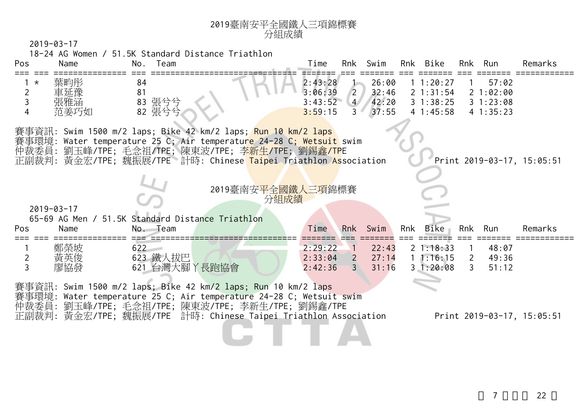|                                                               |                           | 18-24 AG Women / 51.5K Standard Distance Triathlon |                                                                                                                                                                                                                                                                           |                                          |                                                    |                                  |     |                                                |                                                  |                                           |                            |
|---------------------------------------------------------------|---------------------------|----------------------------------------------------|---------------------------------------------------------------------------------------------------------------------------------------------------------------------------------------------------------------------------------------------------------------------------|------------------------------------------|----------------------------------------------------|----------------------------------|-----|------------------------------------------------|--------------------------------------------------|-------------------------------------------|----------------------------|
| Pos                                                           | Name                      | No. Team                                           |                                                                                                                                                                                                                                                                           | Time                                     |                                                    | Rnk Swim                         |     | Rnk Bike                                       |                                                  | Rnk Run                                   | Remarks                    |
| $\star$<br>$\overline{2}$<br>$\overline{3}$<br>$\overline{4}$ | 葉畇彤<br>車延豫<br>張雅涵<br>范姜巧如 | 84<br>81<br>83 張兮兮<br>82 張兮兮                       |                                                                                                                                                                                                                                                                           | 2:43:28<br>3:06:39<br>3:43:52<br>3:59:15 | $\left(2\right)$<br>4/<br>3 <sup>4</sup>           | 26:00<br>32:46<br>42:20<br>37:55 |     | 1 1:20:27<br>2 1:31:54<br>31:38:25<br>41:45:58 |                                                  | 57:02<br>21:02:00<br>31:23:08<br>41:35:23 |                            |
|                                                               |                           |                                                    | 賽事資訊: Swim 1500 m/2 laps; Bike 42 km/2 laps; <mark>Run 10 km/2 laps</mark><br>賽事環境: Water temperature 25 C; Air temperature 24-28 C; Wetsuit swim<br>仲裁委員: 劉玉峰/TPE; 毛念祖/TPE; 陳東波/TPE; 李新生/TPE; 劉錫鑫/TPE<br>正副裁判: 黃金宏/TPE; 魏振展/TPE 計時: Chinese Taipei Triathlon Association |                                          |                                                    |                                  |     |                                                |                                                  |                                           | Print 2019-03-17, 15:05:51 |
|                                                               |                           |                                                    |                                                                                                                                                                                                                                                                           |                                          |                                                    |                                  |     |                                                |                                                  |                                           |                            |
|                                                               | $2019 - 03 - 17$          | 65-69 AG Men / 51.5K Standard Distance Triathlon   | 2019臺南安 <mark>平全國鐵人三項</mark> 錦標賽                                                                                                                                                                                                                                          | 分組成績                                     |                                                    |                                  |     |                                                |                                                  |                                           |                            |
|                                                               | Name                      | No. Team                                           |                                                                                                                                                                                                                                                                           | Time                                     |                                                    | Rnk Swim                         | Rnk | Bike                                           | Rnk                                              | Run                                       | Remarks                    |
| Pos<br>$\overline{2}$<br>3                                    | 鄭榮坡<br>黃英俊<br>廖協發         | 622<br>623 鐵人拔巴<br>621 台灣大腳丫長跑協會                   |                                                                                                                                                                                                                                                                           | 2:29:22<br>2:33:04<br>2:42:36            | $\blacksquare$<br>$\overline{2}$<br>$\overline{3}$ | 22:43<br>27:14<br>31:16          |     | 21:18:33<br>11:16:15<br>31:20:08               | $\overline{1}$<br>$\overline{2}$<br>$\mathbf{3}$ | 48:07<br>49:36<br>51:12                   |                            |

分組成績

<sup>2019</sup>臺南安平全國鐵人三項錦標賽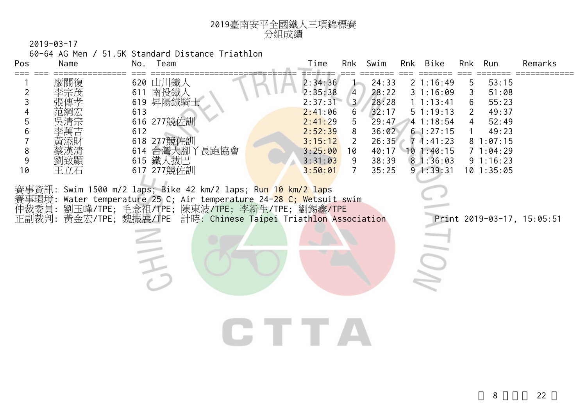

60-64 AG Men / 51.5K Standard Distance Triathlon

| Pos                                                        | Name              | Team<br>No.                                                                                                                                                                                                                                                                                                                                                                                                             | Time<br>Rnk                                                                                                               | Swim                                                                                                                                                                  | Rnk Bike                                                                                                                    | Rnk              | Run                                                                                                    | Remarks                    |
|------------------------------------------------------------|-------------------|-------------------------------------------------------------------------------------------------------------------------------------------------------------------------------------------------------------------------------------------------------------------------------------------------------------------------------------------------------------------------------------------------------------------------|---------------------------------------------------------------------------------------------------------------------------|-----------------------------------------------------------------------------------------------------------------------------------------------------------------------|-----------------------------------------------------------------------------------------------------------------------------|------------------|--------------------------------------------------------------------------------------------------------|----------------------------|
| $\overline{2}$<br>3<br>5<br>6<br>8<br>$\overline{9}$<br>10 | 廖關復<br>李宗茂<br>王立石 | 620 山川鐵人<br>南投鐵人<br>611<br>619 昇陽鐵騎士<br>613<br>616 277競佐訓<br>612<br>618 277 競佐訓<br>614 台灣大腳丫長跑協會<br>615 鐵人拔巴<br>617 277競佐訓<br>賽事資訊: Swim 1500 m/2 laps; Bike 42 km/2 laps; Run <mark>10 km/2 lap</mark> s<br>賽事環境: Water temperature 25 C; Air temperature 24- <mark>28 C; We</mark> tsuit swim<br>仲裁委員: 劉玉峰/TPE; 毛念祖/TPE; 陳東波/TPE; 李新生/TPE; 劉錫鑫/TPE<br>正副裁判: 黃金宏/TPE; 魏振展/TPE 計時: Chinese Taipei Triathlon Association | 2:34:36<br>2:35:38<br>2:37:31<br>2:41:06<br>2:41:29<br>2:52:39<br>3:15:12<br>3:25:00<br>10<br>3:31:03<br>3:50:01<br>TE TE | 24:33<br>28:22<br>$\overline{4}$<br>3 <sup>7</sup><br>28:28<br>32:17<br>6<br>5<br>29:47<br>36:02<br>8<br>26:35<br>2<br>40:17<br>38:39<br>9<br>35:25<br>$\overline{7}$ | 21:16:49<br>31:16:09<br>1 1:13:41<br>51:19:13<br>41:18:54<br>$6 - 1:27:15$<br>71:41:23<br>101:40:15<br>81:36:03<br>91:39:31 | 5<br>3<br>6<br>2 | 53:15<br>51:08<br>55:23<br>49:37<br>52:49<br>49:23<br>81:07:15<br>71:04:29<br>91:16:23<br>$10$ 1:35:05 | Print 2019-03-17, 15:05:51 |
|                                                            |                   |                                                                                                                                                                                                                                                                                                                                                                                                                         |                                                                                                                           |                                                                                                                                                                       |                                                                                                                             |                  |                                                                                                        |                            |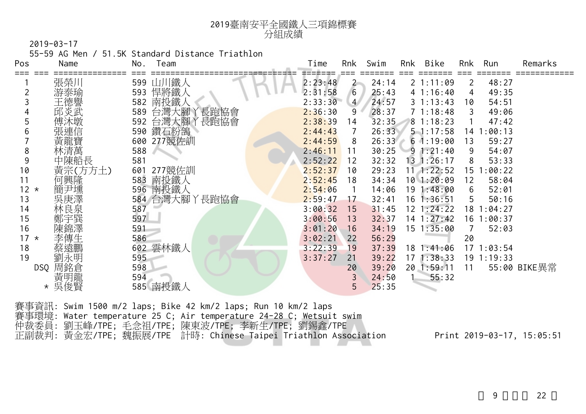

55-59 AG Men / 51.5K Standard Distance Triathlon

| Pos    | Name       | No. | Team               | Time    | Rnk            | Swim  | Rnk | Bike            | Rnk  | Run            | Remarks      |
|--------|------------|-----|--------------------|---------|----------------|-------|-----|-----------------|------|----------------|--------------|
|        | 張榮川        |     | 599 山川鐵人           | 2:23:48 | $2 -$          | 24:14 |     | 21:11:09        | 2    | 48:27          |              |
|        | 游泰瑜        | 593 | 悍將鐵人               | 2:31:58 | 6              | 25:43 |     | 41:16:40        | 4    | 49:35          |              |
|        | 王德譽        |     | 582 南投鐵人           | 2:33:30 | $\overline{4}$ | 24:57 |     | $3 \t1:13:43$   | 10   | 54:51          |              |
|        | 邱炎武        |     | 589 台灣大腳丫長跑協會      | 2:36:30 | 9              | 28:37 |     | 71:18:48        | 3    | 49:06          |              |
|        | 傅沐墩        |     | '長跑協會<br>592 台灣大腳丫 | 2:38:39 | 14             | 32:35 |     | 81:18:23        |      | 47:42          |              |
|        | 張連信        |     | 590 鑽石粉鴿           | 2:44:43 |                | 26:33 |     | 51:17:58        | 14 1 | :00:13         |              |
|        | 黃龍寶        |     | 600 277競佐訓         | 2:44:59 | 8              | 26:33 |     | 61:19:00        | 13   | 59:27          |              |
| 8      | 林清萬        | 588 |                    | 2:46:11 | 11             | 30:25 |     | 91:21:40        | 9    | 54:07          |              |
| 9      | 中陳船長       | 581 |                    | 2:52:22 | 12             | 32:32 |     | $13 \t1:26:17$  | 8    | 53:33          |              |
| 10     | 黃宗(方方土)    | 601 | 277競佐訓             | 2:52:37 | 10             | 29:23 |     | $11$ 1:22:52    |      | 15 1:00:22     |              |
| 11     | 何興隆        |     | 583 南投鐵人           | 2:52:45 | 18             | 34:34 |     | $10$ 1:20:09    | 12   | 58:04          |              |
| $12 *$ | 簡尹壎        |     | 596 南投鐵人           | 2:54:06 |                | 14:06 |     | 19 1:48:00      | 6    | 52:01          |              |
| 13     | 吳庚澤        |     | 584 台灣大腳丫長跑協會      | 2:59:47 | 17             | 32:41 |     | $16$ 1:36:51    | 5    | 50:16          |              |
| 14     | 林良泉        | 587 |                    | 3:00:32 | 15             | 31:45 |     | $12 \; 1:24:22$ |      | 18 1:04:27     |              |
| 15     | 鄭宇巽<br>陳錦澤 | 597 |                    | 3:00:56 | 13             | 32:37 |     | $14$ 1:27:42    |      | 16 1:00:37     |              |
| 16     |            | 591 |                    | 3:01:20 | 16             | 34:19 |     | $15 \t1:35:00$  |      | 52:03          |              |
| $17 *$ | 李傳生        | 586 |                    | 3:02:21 | 22             | 56:29 |     |                 | 20   |                |              |
| 18     | 蔡遠鵬        |     | 602 雲林鐵人           | 3:22:39 | 19             | 37:39 |     | 181::41:06      |      | 171:03:54      |              |
| 19     | 劉永明        | 595 |                    | 3:37:27 | 21             | 39:22 |     | 171:38:33       |      | $19 \t1:19:33$ |              |
| DSQ    | 周銘倉        | 598 |                    |         | 20             | 39:20 |     | 20 1:59:11      | 11   |                | 55:00 BIKE異常 |
|        | 黃明龍        | 594 |                    |         |                | 24:50 |     | 55:32           |      |                |              |
|        | 吳俊賢        |     | 585 南投鐵人           |         | 5              | 25:35 |     |                 |      |                |              |

賽事資訊: Swim 1500 m/2 laps; Bike 42 km/2 laps; Run 10 km/2 laps 賽事環境: Water temperature 25 C; Air temperature 24-28 C; Wetsuit swim 仲裁委員: 劉玉峰/TPE; 毛念祖/TPE; 陳東波/TPE; 李新生/TPE; 劉錫鑫/TPE 正副裁判: 黃金宏/TPE; 魏振展/TPE 計時: Chinese Taipei Triathlon Association Print 2019-03-17, 15:05:51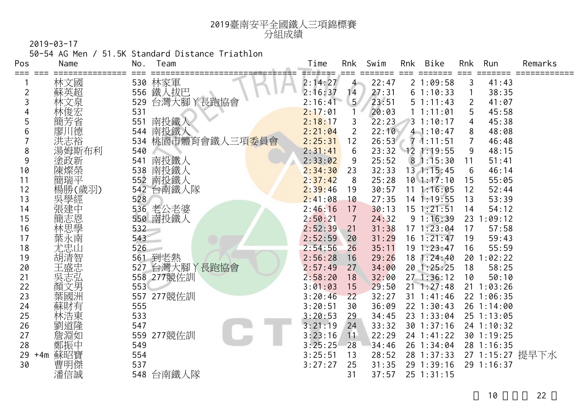

50-54 AG Men / 51.5K Standard Distance Triathlon

| Pos      | Name         | No.        | Team                        | Time               | Rnk            | Swim           | Rnk | <b>Bike</b>              | Rnk            | Run                      | Remarks         |
|----------|--------------|------------|-----------------------------|--------------------|----------------|----------------|-----|--------------------------|----------------|--------------------------|-----------------|
| ===      | 林文國          |            | 530 林家軍                     | =======<br>2:14:27 | $4 -$          | 22:47          |     | 21:09:58                 | 3              | 41:43                    |                 |
| 2        | 蘇英超          |            | 556 鐵人拔巴                    | 2:16:37            | 14             | 27:31          |     | 61:10:33                 |                | 38:35                    |                 |
| 3        | 文泉           | 529        | 台灣大腳丫長跑協會                   | 2:16:41            | 5 <sub>1</sub> | 23:51          |     | 51:11:43                 | $\overline{2}$ | 41:07                    |                 |
|          |              | 531        |                             | 2:17:01            |                | 20:03          |     | 1 1:11:01                | 5              | 45:58                    |                 |
| 5        | 簡芳省          | 551        | 南投鐵人                        | 2:18:17            | 3              | 22:23          |     | 31:10:17                 | 4              | 45:38                    |                 |
| 6        | 廖川德          | 544        | 南投鐵人                        | 2:21:04            | $\overline{2}$ | 22:10          |     | 41:10:47                 | 8              | 48:08                    |                 |
|          | 洪志裕          | 534        | 桃園市體育會鐵人三項 <mark>委員會</mark> | 2:25:31            | 12             | 26:53          | s.  | $7 - 1:11:51$            |                | 46:48                    |                 |
| 8        | 湯姆斯布利        | 540        |                             | 2:31:41            | 6              | 23:32          |     | $12$ 1:19:55             | 9              | 48:15                    |                 |
| 9        | 塗政新          | 541        | 南投鐵人                        | 2:33:02            | 9              | 25:52          |     | 81:15:30                 | 11             | 51:41                    |                 |
| 10       | 陳燦榮          | 538        | 南投鐵人                        | 2:34:30            | 23             | 32:33          |     | $13 \t1:15:45$           | 6              | 46:14                    |                 |
| 11       | 簡瑞平          | 552        | 南投鐵人                        | 2:37:42            | 8              | 25:28          |     | $10$ 1:17:10             | 15             | 55:05                    |                 |
| 12       | 楊勝(歲羽)       | 542        | 台南鐵人隊                       | 2:39:46            | 19             | 30:57          |     | 111:16:05                | 12             | 52:44                    |                 |
| 13       | 吳學經          | 528        |                             | 2:41:08            | 10             | 27:35          |     | 14 1:19:55               | 13             | 53:39                    |                 |
| 14       | 張建中          |            | 536 老公老婆                    | 2:46:16            | 17             | 30:13          |     | $15 \t1:21:51$           | 14             | 54:12                    |                 |
| 15       | 簡志恩          |            | 550 南投鐵人                    | 2:50:21            | $\overline{7}$ | 24:32          |     | 91:16:39                 |                | 23 1:09:12               |                 |
| 16       | 林思學          | 532        |                             | 2:52:39            | 21             | 31:38          |     | 171:23:04                | 17             | 57:58                    |                 |
| 17       | 葉永南          | 543        |                             | 2:52:59            | 20             | 31:29          |     | $16$ 1:21:47             | 19             | 59:43                    |                 |
| 18       | 尤忠山          | 526        |                             | 2:54:56            | 26             | 35:11          |     | 191:23:47                | 16             | 55:59                    |                 |
| 19       | 胡清智          |            | 561 到老熱                     | 2:56:28            | 16             | 29:26          |     | 18 1:24:40               |                | 20 1:02:22               |                 |
| 20       | 王盛忠          |            | 527 台灣大腳丫長跑協會               | 2:57:49            | 27             | 34:00          |     | 20 1:25:25               | 18             | 58:25                    |                 |
| 21       | 吳志弘          |            | 558 277競佐訓                  | 2:58:20            | 18             | 32:00          |     | 271:36:12                | 10             | 50:10                    |                 |
| 22       | 顏文男          | 553        |                             | 3:01:03            | 15             | 29:50          |     | $21 \t1:27:48$           |                | $21 \t1:03:26$           |                 |
| 23       | 葉國洲          | 557        | 277競佐訓                      | 3:20:46            | 22             | 32:27          |     | $31 \t1:41:46$           |                | 22 1:06:35               |                 |
| 24       | 蘇財有          | 555        |                             | 3:20:51            | 30             | 36:09          |     | 22 1:30:43               |                | 26 1:14:00               |                 |
| 25       | 林浩東          | 533        |                             | 3:20:53            | 29             | 34:45          |     | 23 1:33:04               |                | 25 1:13:05               |                 |
| 26<br>27 | 劉道隆          | 547        |                             | 3:21:19            | 24             | 33:32          |     | $30$ 1:37:16             |                | 24 1:10:32               |                 |
| 28       | 詹淵如          | 559<br>549 | 277競佐訓                      | 3:23:16<br>3:25:25 | 11<br>28       | 22:29<br>34:46 |     | 24 1:41:22<br>26 1:34:04 |                | 30 1:19:25<br>28 1:16:35 |                 |
|          | 鄭振中          | 554        |                             |                    |                |                |     |                          |                |                          |                 |
| 29<br>30 | 蘇昭寶<br>$+4m$ | 537        |                             | 3:25:51<br>3:27:27 | 13<br>25       | 28:52<br>31:35 |     | 28 1:37:33<br>29 1:39:16 |                | 29 1:16:37               | 27 1:15:27 提早下水 |
|          | 曹明傑<br>潘信誠   |            | 548 台南鐵人隊                   |                    | 31             | 37:57          |     | 25 1:31:15               |                |                          |                 |
|          |              |            |                             |                    |                |                |     |                          |                |                          |                 |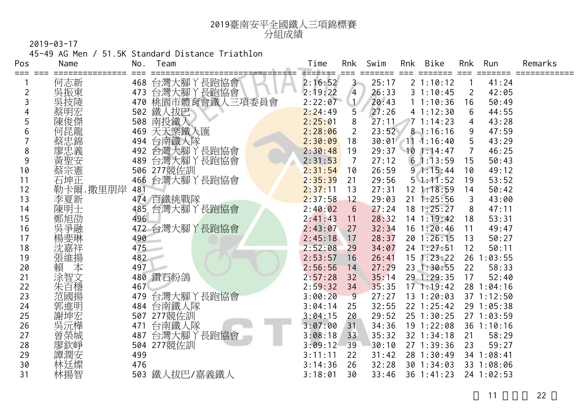

45-49 AG Men / 51.5K Standard Distance Triathlon

| Pos<br>⋍⋍⋍ | Name              | No. | Team          | Time    | Rnk            | Swim  | Rnk | Bike              | Rnk            | Run        | Remarks |
|------------|-------------------|-----|---------------|---------|----------------|-------|-----|-------------------|----------------|------------|---------|
|            | 何志新               |     | 468 台灣大腳丫長跑協會 | 2:16:52 | $3 -$          | 25:17 |     | 2 1:10:12         |                | 41:24      |         |
| 2          | 吳振東               | 473 | 台灣大腳丫長跑協會     | 2:19:22 | $\overline{4}$ | 26:33 |     | 31:10:45          | 2              | 42:05      |         |
| 3          | 吳技陵               | 470 | 桃園市體育會鐵人三項委員會 | 2:22:07 |                | 20:43 |     | 11:10:36          | 16             | 50:49      |         |
|            | 蔡明宏               | 502 | 鐵人拔巴          | 2:24:49 | 5              | 27:26 |     | 41:12:30          | 6              | 44:55      |         |
| 5          | 陳俊傑               | 508 | 南投鐵人          | 2:25:01 | 8              | 27:11 |     | 71:14:23          | 4              | 43:28      |         |
|            | 何昆龍               | 469 | 天天樂鐵人匯        | 2:28:06 | $\overline{2}$ | 23:52 |     | 81:16:16          | 9              | 47:59      |         |
|            | 蔡忠錦               | 494 | 台南鐵人隊         | 2:30:09 | 18             |       |     | 30:01 11 1:16:40  | 5              | 43:29      |         |
| 8          | 寥忠義               |     | 492 台灣大腳丫長跑協會 | 2:30:48 | 19             | 29:37 |     | 101:14:47         | $\overline{7}$ | 46:25      |         |
| 9          | 黃聖安               | 489 | 台灣大腳丫長跑協會     | 2:31:53 | $\overline{7}$ | 27:12 |     | 61:13:59          | 15             | 50:43      |         |
| 10         | 蔡宗憲               |     | 506 277競佐訓    | 2:31:54 | 10             | 26:59 |     | 91:15:44          | 10             | 49:12      |         |
| 11         | 石坤正               | 466 | 台灣大腳丫長跑協會     | 2:35:39 | 21             | 29:56 |     | $5 \cdot 1:11:52$ | 19             | 53:52      |         |
| 12         | 卡爾.撒里朋岸           | 481 |               | 2:37:11 | 13             | 27:31 |     | 12 1:18:59        | 14             | 50:42      |         |
| 13         | 李夏新               |     | 474 百鐵挑戰隊     | 2:37:58 | 12             | 29:03 |     | $21 \t1:25:56$    | 3              | 43:00      |         |
| 14         | 陳明士               |     | 485 台灣大腳丫長跑協會 | 2:40:02 | 6              | 27:24 |     | $18$ 1:25:27      | 8              | 47:11      |         |
| 15         | 鄭旭劭               | 496 |               | 2:41:43 | 11             | 28:32 |     | $14$ 1:19:42      | 18             | 53:31      |         |
| 16         | 吳爭融               |     | 472 台灣大腳丫長跑協會 | 2:43:07 | 27             | 32:34 |     | $16$ 1:20:46      | 11             | 49:47      |         |
| 17         | 楊斐琳               | 490 |               | 2:45:18 | 17             | 28:37 |     | 201:26:15         | 13             | 50:27      |         |
| 18         | 沈嘉祥               | 475 |               | 2:52:08 | 29             | 34:07 |     | $24$ 1:27:51      | 12             | 50:11      |         |
| 19         | 張維揚               | 482 |               | 2:53:57 | 16             | 26:41 |     | $15$ 1:23:22      |                | 26 1:03:55 |         |
| 20         | 賴<br>本            | 497 |               | 2:56:56 | 14             | 27:29 |     | 23 1:30:55        | 22             | 58:33      |         |
| 21         | 涂智文               |     | 480 鑽石粉鴿      | 2:57:28 | 32             | 35:14 |     | 29 1:29:35        | 17             | 52:40      |         |
| 22         | 朱百穩               | 467 |               | 2:59:32 | 34             | 35:35 |     | 171:19:42         |                | 28 1:04:16 |         |
| 23         | 范國揚               | 479 | 台灣大腳丫長跑協會     | 3:00:20 | 9              | 27:27 |     | $13 \t1:20:03$    |                | 37 1:12:50 |         |
| 24         | 郭進明               | 484 | 台南鐵人隊         | 3:04:14 | 25             | 32:55 |     | $22$ 1:25:42      |                | 29 1:05:38 |         |
| 25         | 謝坤宏               | 507 | 277競佐訓        | 3:04:15 | 20             | 29:52 |     | $25 \t1:30:25$    |                | 271:03:59  |         |
| 26         | 实<br>三、元樺<br>曾 榮城 | 471 | 台南鐵人隊         | 3:07:00 | 31             | 34:36 |     | $19$ 1:22:08      |                | 36 1:10:16 |         |
| 27         |                   | 487 | 台灣大腳丫長跑協會     | 3:08:18 | 33             | 35:32 |     | 32 1:34:18        | 21             | 58:29      |         |
| 28         | 寥欽崢               | 504 | 277競佐訓        | 3:09:12 | 39             | 30:10 |     | 27 1:39:36        | 23             | 59:27      |         |
| 29         | 譚潤安               | 499 |               | 3:11:11 | 22             | 31:42 |     | 28 1:30:49        |                | 34 1:08:41 |         |
| 30         | 林廷燦               | 476 |               | 3:14:36 | 26             | 32:28 |     | $30$ 1:34:03      |                | 33 1:08:06 |         |
| 31         | 林揚智               | 503 | 鐵人拔巴/嘉義鐵人     | 3:18:01 | 30             | 33:46 |     | $36$ 1:41:23      |                | 24 1:02:53 |         |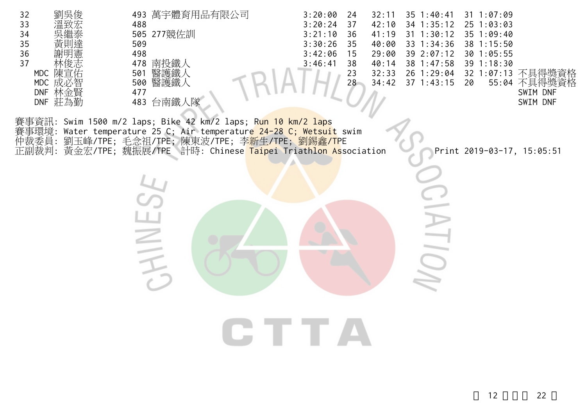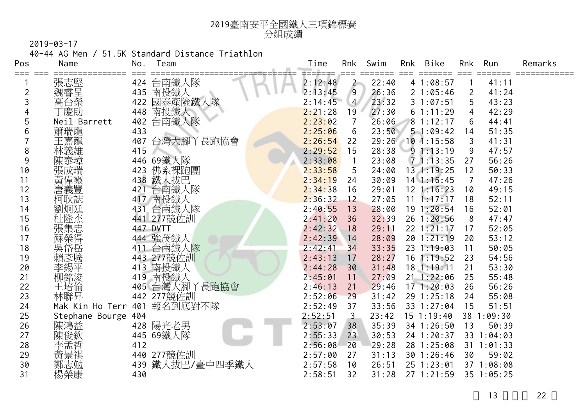

40-44 AG Men / 51.5K Standard Distance Triathlon

| Pos | Name                | No. | Team          | Time    | Rnk            | Swim  | Rnk | Bike               | Rnk | Run            | Remarks |
|-----|---------------------|-----|---------------|---------|----------------|-------|-----|--------------------|-----|----------------|---------|
|     | 張志堅                 |     | 424 台南鐵人隊     | 2:12:48 | $2 -$          | 22:40 |     | 41:08:57           |     | 41:11          |         |
| 2   | 魏睿呈                 |     | 435 南投鐵人      | 2:13:45 | 9              | 26:36 |     | 21:05:46           | 2   | 41:24          |         |
| 3   | 高台榮                 | 422 | 國泰產險鐵人隊       | 2:14:45 | $\overline{4}$ | 23:32 |     | 31:07:51           | 5   | 43:23          |         |
| 4   | 「慶助                 |     | 448 南投鐵人      | 2:21:28 | 19             | 27:30 |     | 61:11:29           | 4   | 42:29          |         |
| 5   | Neil Barrett        | 402 | 台南鐵人隊         | 2:23:02 | $\overline{7}$ | 26:06 |     | 81:12:17           | 6   | 44:41          |         |
| 6   | 蕭瑞龍                 | 433 |               | 2:25:06 | 6              | 23:50 |     | 51:09:42           | 14  | 51:35          |         |
|     | 王嘉龍                 | 407 | 台灣大腳丫長跑協會     | 2:26:54 | 22             |       |     | 29:26 10 1:15:58   | 3   | 41:31          |         |
| 8   | 林義雄                 | 415 |               | 2:29:52 | 15             | 28:38 |     | 91:13:19           | 9   | 47:57          |         |
| 9   | 陳泰璋                 |     | 446 69鐵人隊     | 2:33:08 |                | 23:08 |     | 71:13:35           | 27  | 56:26          |         |
| 10  | 張成瑞                 | 423 | 佛系裸跑團         | 2:33:58 | 5              | 24:00 |     | $13 \t1:19:25$     | 12  | 50:33          |         |
| 11  | 黃偉靈                 | 438 | 鐵人拔巴          | 2:34:19 | 24             | 30:09 |     | $14$ 1:16:45       | 7   | 47:26          |         |
| 12  | 唐義豐                 | 421 | 台南鐵人隊         | 2:34:38 | 16             | 29:01 |     | $12$ 1:16:23       | 10  | 49:15          |         |
| 13  | 柯耿誌                 |     | 417 南投鐵人      | 2:36:32 | 12             | 27:05 |     | $11 \quad 1:17:17$ | 18  | 52:11          |         |
| 14  | 劉炯廷                 | 431 | 台南鐵人隊         | 2:40:55 | 13             | 28:00 |     | 19 1:20:54         | 16  | 52:01          |         |
| 15  | 杜隆杰                 |     | 441 277競佐訓    | 2:41:20 | 36             | 32:39 |     | 26 1:20:56         | 8   | 47:47          |         |
| 16  | 張集忠                 |     | 447 DVTT      | 2:42:32 | 18             | 29:11 |     | 22 1:21:17         | 17  | 52:05          |         |
| 17  | 蘇榮得                 |     | 444 強茂鐵人      | 2:42:39 | 14             | 28:09 |     | 201:21:19          | 20  | 53:12          |         |
| 18  | 吳岱岳                 |     | 411 台南鐵人隊     | 2:42:41 | 34             | 33:35 |     | 23 1:19:03         | 11  | 50:05          |         |
| 19  |                     |     | 443 277競佐訓    | 2:43:13 | 17             | 28:27 |     | $16$ 1:19:52       | 23  | 54:56          |         |
| 20  |                     | 413 | 南投鐵人          | 2:44:28 | 30             | 31:48 |     | $18$ 1:19:11       | 21  | 53:30          |         |
| 21  | 柳銘浚                 |     | 419 南投鐵人      | 2:45:01 | 11             | 27:09 |     | $21 \t1:22:06$     | 25  | 55:48          |         |
| 22  | 王培倫                 |     | 405 台灣大腳丫長跑協會 | 2:46:13 | 21             | 29:46 |     | 171:20:03          | 26  | 56:26          |         |
| 23  | 林聯昇                 |     | 442 277競佐訓    | 2:52:06 | 29             | 31:42 |     | 29 1:25:18         | 24  | 55:08          |         |
| 24  | Mak Kin Ho Terr 401 |     | 報名到底對不隊       | 2:52:49 | 37             | 33:56 |     | 33 1:27:04         | 15  | 51:51          |         |
| 25  | Stephane Bourge 404 |     |               | 2:52:51 | $\overline{3}$ | 23:42 |     | $15$ 1:19:40       |     | 38 1:09:30     |         |
| 26  | 陳鴻益                 |     | 428 陽光老男      | 2:53:07 | 38             | 35:39 |     | 34 1:26:50         | 13  | 50:39          |         |
| 27  | 陳俊欽                 |     | 445 69鐵人隊     | 2:55:33 | 23             | 30:53 |     | 24 1:20:37         |     | 33 1:04:03     |         |
| 28  | 李孟哲                 | 412 |               | 2:56:08 | 20             | 29:28 |     | 28 1:25:08         |     | $31 \t1:01:33$ |         |
| 29  | 黃景祺                 |     | 440 277競佐訓    | 2:57:00 | 27             | 31:13 |     | $30$ 1:26:46       | 30  | 59:02          |         |
| 30  | 鄭志勉                 | 439 | 鐵人拔巴/臺中四季鐵人   | 2:57:58 | 10             | 26:51 |     | 25 1:23:01         |     | 37 1:08:08     |         |
| 31  | 楊榮康                 | 430 |               | 2:58:51 | 32             | 31:28 |     | 271:21:59          |     | 35 1:05:25     |         |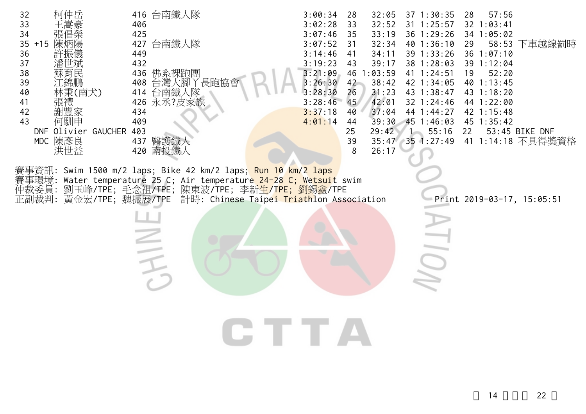| 柯仲岳<br>32<br>33<br>張倡榮<br>34<br>陳炳陽<br>$35 + 15$<br>36<br>許振儀<br>37<br>潘世斌<br>38<br>蘇育民<br>39<br>江錦鵬<br>40<br>林秉(南犬)<br>張禮<br>41<br>謝豐家<br>42<br>何馴申<br>43<br>DNF Olivier GAUCHER<br>MDC 陳彥良<br>洪世益 | 416 台南鐵人隊<br>406<br>425<br>台南鐵人隊<br>427<br>449<br>432<br>436 佛系裸跑團<br>台灣大腳丫長跑協會<br>408<br>414 台南鐵人隊<br>426 永丞?皮家族<br>434<br>409<br>403<br>437 醫護鐵人<br>420 南投鐵人                                                                                            | 3:00:34<br>28<br>3:02:28<br>33<br>3:07:46<br>35<br>3:07:52<br>31<br>3:14:46<br>41<br>3:19:23<br>43<br>3:21:09<br>46<br>3:26:30<br>42<br>3:28:30<br>26<br>3:28:46<br>45<br>3:37:18<br>40<br>4:01:14<br>44<br>25<br>39<br>8 | 32:05<br>37 1:30:35<br>32:52<br>$31 \t1:25:57$<br>36 1:29:26<br>33:19<br>32:34<br>40 1:36:10<br>39 1:33:26<br>34:11<br>39:17<br>38 1:28:03<br>1:03:59<br>41 1:24:51<br>38:42<br>42 1:34:05<br>31:23<br>43 1:38:47<br>42:01<br>32 1:24:46<br>37:04<br>44 1:44:27<br>451:46:03<br>39:30<br>29:42<br>55:16<br>$35:47$ 35 1:27:49<br>26:17 | 57:56<br>28<br>$32$ 1:03:41<br>34 1:05:02<br>58:53 下車越線罰時<br>29<br>$36$ 1:07:10<br>39 1:12:04<br>52:20<br>19<br>40 1:13:45<br>43 1:18:20<br>44 1:22:00<br>42 1:15:48<br>45 1:35:42<br>53:45 BIKE DNF<br>22<br>41 1:14:18 不具得獎資格 |
|-----------------------------------------------------------------------------------------------------------------------------------------------------------------------------------------------------|-----------------------------------------------------------------------------------------------------------------------------------------------------------------------------------------------------------------------------------------------------------|---------------------------------------------------------------------------------------------------------------------------------------------------------------------------------------------------------------------------|----------------------------------------------------------------------------------------------------------------------------------------------------------------------------------------------------------------------------------------------------------------------------------------------------------------------------------------|---------------------------------------------------------------------------------------------------------------------------------------------------------------------------------------------------------------------------------|
| 賽事環境:<br>仲裁委員:                                                                                                                                                                                      | 賽事資訊: Swim 1500 m/2 laps; Bike 42 km/2 laps; <mark>Run 10 km/2 laps</mark><br>Water temperature 25 C; Air temperature 24-28 C; Wetsuit swim<br>劉玉峰/TPE;毛念祖/TPE;陳東波/TPE;李新生/TPE;劉錫鑫/TPE<br>正副裁判: 黃金宏/TPE; 魏振展/TPE 計時: Chinese Taipei Triathlon Association | <b>CTTA</b>                                                                                                                                                                                                               |                                                                                                                                                                                                                                                                                                                                        | Print 2019-03-17, 15:05:51                                                                                                                                                                                                      |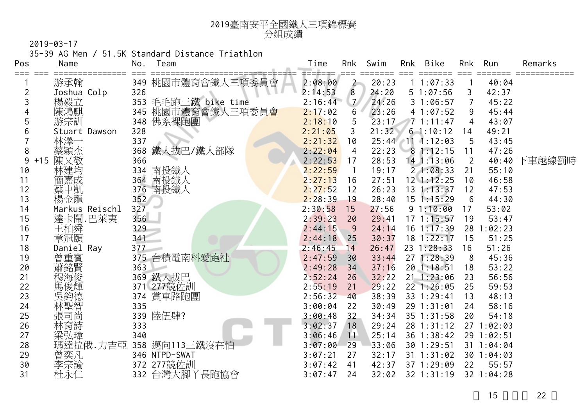| 2019臺南安平全國鐵人三項錦標賽 |
|-------------------|
| 分組成績              |

35-39 AG Men / 51.5K Standard Distance Triathlon

| Pos            | Name           | No. | Team                | Time    | Rnk            | Swim  | Rnk | Bike             | Rnk            | Run        | Remarks      |
|----------------|----------------|-----|---------------------|---------|----------------|-------|-----|------------------|----------------|------------|--------------|
|                | 游承翰            |     | 349 桃園市體育會鐵人三項委員會   | 2:08:00 | $\mathbf{2}$   | 20:23 |     | 11:07:33         |                | 40:04      |              |
| $\overline{2}$ | Joshua Colp    | 326 |                     | 2:14:53 | 8              | 24:20 |     | 51:07:56         | 3              | 42:37      |              |
| 3              | 楊毅立            |     | 353 毛毛跑三鐵 bike time | 2:16:44 | 7 <sup>7</sup> | 24:26 |     | 31:06:57         | 7              | 45:22      |              |
| 4              | 陳鴻麒            |     | 345 桃園市體育會鐵人三項委員會   | 2:17:02 | $6\phantom{1}$ | 23:26 |     | 41:07:52         | 9              | 45:44      |              |
| 5              | 游宗訓            | 348 | 佛系裸跑團               | 2:18:10 | 5              | 23:17 |     | 71:11:47         | 4              | 43:07      |              |
|                | Stuart Dawson  | 328 |                     | 2:21:05 | 3              | 21:32 |     | $6 - 1:10:12$    | 14             | 49:21      |              |
|                | 林澤一            | 337 |                     | 2:21:32 | 10             |       |     | 25:44 11 1:12:03 | $-5$           | 43:45      |              |
| 8              | 蔡穎杰            | 368 | 鐵人拔巴/鐵人部隊           | 2:22:04 | $\overline{4}$ | 22:23 |     | 81:12:15         | 11             | 47:26      |              |
| 9              | 陳又敬<br>$+15$   | 366 |                     | 2:22:53 | 17             | 28:53 |     | 14 1:13:06       | $\overline{2}$ |            | 40:40 下車越線罰時 |
| 10             | 林建均            |     | 334 南投鐵人            | 2:22:59 | $\overline{1}$ | 19:17 |     | 21:08:33         | 21             | 55:10      |              |
| 11             | 簡嘉成            |     | 364 南投鐵人            | 2:27:13 | 16             | 27:51 |     | $12 \; 1:12:25$  | 10             | 46:58      |              |
| 12             | 蔡中凱            |     | 376 南投鐵人            | 2:27:52 | 12             | 26:23 |     | $13 \t1:13:37$   | 12             | 47:53      |              |
| 13             | 楊金龍            | 352 |                     | 2:28:39 | 19             | 28:40 |     | $15$ 1:15:29     | 6              | 44:30      |              |
| 14             | Markus Reischl | 327 |                     | 2:30:58 | 15             | 27:56 |     | 91:10:00         | 17             | 53:02      |              |
| 15             | 達卡鬧.巴萊夷        | 356 |                     | 2:39:23 | 20             | 29:41 |     | 171:15:57        | 19             | 53:47      |              |
| 16             | 王柏舜            | 329 |                     | 2:44:15 | 9              | 24:14 |     | $16$ 1:17:39     |                | 28 1:02:23 |              |
| 17             | 章冠頤            | 341 |                     | 2:44:18 | 25             | 30:37 |     | $18$ 1:22:17     | 15             | 51:25      |              |
| 18             | Daniel Ray     | 377 |                     | 2:46:45 | 14             | 26:47 |     | 23 1:28:33       | 16             | 51:26      |              |
| 19             | 曾重賓            |     | 375 台積電南科愛跑社        | 2:47:59 | 30             | 33:44 |     | 27 1:28:39       | 8              | 45:36      |              |
| 20             | 蕭銘賢            | 363 |                     | 2:49:28 | 34             | 37:16 |     | $20$ 1:18:51     | 18             | 53:22      |              |
| 21             | 穆海俊            |     | 369 鐵人拔巴            | 2:52:24 | 26             | 32:22 |     | $21$ 1:23:06     | 23             | 56:56      |              |
| 22             | 馬俊輝            |     | 371 277競佐訓          | 2:55:19 | 21             | 29:22 |     | 22 1:26:05       | 25             | 59:53      |              |
| 23             | 吳鈞德            | 374 | 賞車路跑團               | 2:56:32 | 40             | 38:39 |     | 33 1:29:41       | 13             | 48:13      |              |
| 24             | 林聖智            | 335 |                     | 3:00:04 | 22             | 30:49 |     | 29 1:31:01       | 24             | 58:16      |              |
| 25             | 張司尚            |     | 339 陸伍肆?            | 3:00:48 | 32             | 34:34 |     | $35$ $1:31:58$   | 20             | 54:18      |              |
| 26             | 林育詩            | 333 |                     | 3:02:37 | 18             | 29:24 |     | 28 1:31:12       |                | 271:02:03  |              |
| 27             | 梁弘瑋            | 340 |                     | 3:06:46 | 11             | 25:14 |     | 36 1:38:42       |                | 29 1:02:51 |              |
| 28             | 瑪達拉俄.力吉亞       |     | 358 邁向113三鐵沒在怕      | 3:07:00 | 29             | 33:06 |     | 30 1:29:51       |                | 31 1:04:04 |              |
| 29             | 曾奕凡            |     | 346 NTPD-SWAT       | 3:07:21 | 27             | 32:17 |     | 31 1:31:02       |                | 30 1:04:03 |              |
| 30             |                |     | 372 277競佐訓          | 3:07:42 | 41             | 42:37 |     | 37 1:29:09       | 22             | 55:57      |              |
| 31             | 杜永仁            |     | 332 台灣大腳丫長跑協會       | 3:07:47 | 24             | 32:02 |     | $32$ $1:31:19$   |                | 32 1:04:28 |              |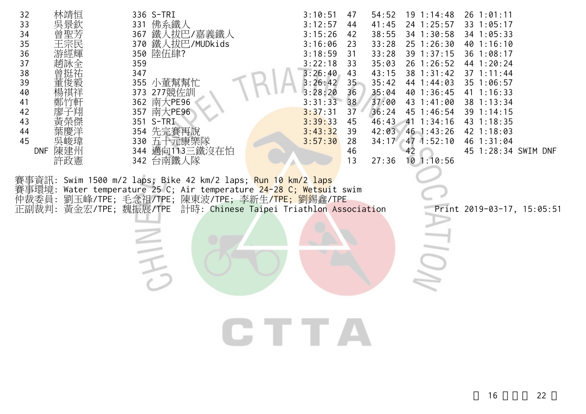| 32<br>33<br>34<br>35<br>36<br>37<br>38<br>39<br>40<br>41<br>42<br>43<br>44<br>45<br>陳建州<br><b>DNF</b><br>許政憲 | 336 S-TRI<br>佛系鐵人<br>331<br>鐵人拔巴/嘉義鐵人<br>367<br>370 鐵人拔巴/MUDkids<br>350 陸伍肆?<br>359<br>347<br>355<br>373 277競佐訓<br>南大PE96<br>362<br>南大PE96<br>357<br>351 S-TRI<br>354 先完賽再說<br>五十元康樂隊<br>330<br>邁向113三鐵沒在怕<br>344<br>342 台南鐵人隊 | 3:10:51<br>54:52<br>47<br>3:12:57<br>41:45<br>44<br>38:55<br>3:15:26<br>42<br>3:16:06<br>33:28<br>23<br>3:18:59<br>33:28<br>31<br>3:22:18<br>33<br>35:03<br>3:26:40<br>43<br>43:15<br>3:26:42<br>$35 -$<br>35:42<br>36<br>35:04<br>3:28:20<br>37:00<br>3:31:33<br>38<br>3:37:31<br>36:24<br>37<br>3:39:33<br>45<br>46:43<br>3:43:32<br>42:03<br>39<br>3:57:30<br>28<br>46<br>42<br>13<br>27:36 | $26$ 1:01:11<br>$19 \t1:14:48$<br>24 1:25:57<br>33 1:05:17<br>34 1:30:58<br>34 1:05:33<br>$25$ 1:26:30<br>40 1:16:10<br>39 1:37:15<br>36 1:08:17<br>26 1:26:52<br>44 1:20:24<br>38 1:31:42<br>$37 \t1:11:44$<br>44 1:44:03<br>35 1:06:57<br>40 1:36:45<br>41 1:16:33<br>43 1:41:00<br>38 1:13:34<br>45 1:46:54<br>39 1:14:15<br>$41 \t1:34:16$<br>43 1:18:35<br>$46$ 1:43:26<br>42 1:18:03<br>34:17 47 1:52:10<br>46 1:31:04<br>45 1:28:34 SWIM DNF<br>101:10:56 |
|--------------------------------------------------------------------------------------------------------------|--------------------------------------------------------------------------------------------------------------------------------------------------------------------------------------------------------------------------------|------------------------------------------------------------------------------------------------------------------------------------------------------------------------------------------------------------------------------------------------------------------------------------------------------------------------------------------------------------------------------------------------|------------------------------------------------------------------------------------------------------------------------------------------------------------------------------------------------------------------------------------------------------------------------------------------------------------------------------------------------------------------------------------------------------------------------------------------------------------------|
| 事環境:<br>仲裁委員:<br>正副裁判:                                                                                       | 賽事資訊: Swim 1500 m/2 laps; Bike 42 km/2 laps; <mark>Run 10 km/2 laps</mark><br>Water temperature 25 C; Air temperature 24-28 C; Wetsuit swim<br>劉玉峰/TPE; 毛念祖/TPE; 陳東波/TPE; 李新生/TPE; 劉錫鑫/TPE<br>黃金宏/TPE; 魏振展/TPE                 | 計時: Chinese Taipei Triathlon Association                                                                                                                                                                                                                                                                                                                                                       | Print 2019-03-17, 15:05:51                                                                                                                                                                                                                                                                                                                                                                                                                                       |
|                                                                                                              |                                                                                                                                                                                                                                | <b>CTTA</b>                                                                                                                                                                                                                                                                                                                                                                                    |                                                                                                                                                                                                                                                                                                                                                                                                                                                                  |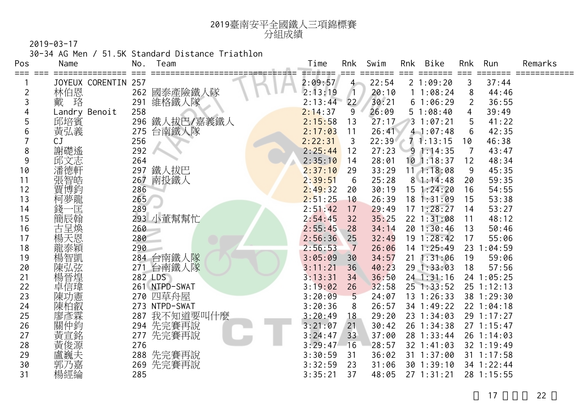

30-34 AG Men / 51.5K Standard Distance Triathlon

| Pos | Name                | No. | Team          | Time    | Rnk             | Swim  | Rnk | Bike           | Rnk | Run            | Remarks |
|-----|---------------------|-----|---------------|---------|-----------------|-------|-----|----------------|-----|----------------|---------|
|     | JOYEUX CORENTIN 257 |     |               | 2:09:57 | $4 -$           | 22:54 |     | 21:09:20       | 3   | 37:44          |         |
| 2   | 林伯恩                 |     | 262 國泰產險鐵人隊   | 2:13:19 |                 | 20:10 |     | 11:08:24       | 8   | 44:46          |         |
| 3   | 戴<br>珞              | 291 | 維格鐵人隊         | 2:13:44 | 22 <sup>7</sup> | 30:21 |     | 61:06:29       | 2   | 36:55          |         |
|     | Landry Benoit       | 258 |               | 2:14:37 | 9               | 26:09 |     | 51:08:40       | 4   | 39:49          |         |
| 5   | 邱培賓                 | 296 | 鐵人拔巴/嘉義鐵人     | 2:15:58 | 13              | 27:17 |     | 31:07:21       | 5   | 41:22          |         |
| 6   | 黃弘義                 | 275 | 台南鐵人隊         | 2:17:03 | 11              | 26:41 |     | 41:07:48       | 6   | 42:35          |         |
|     | CJ                  | 256 |               | 2:22:31 | 3               | 22:39 |     | 71:13:15       | 10  | 46:38          |         |
| 8   | 謝礎遙                 | 292 |               | 2:25:44 | 12              | 27:23 |     | 91:14:35       | 7   | 43:47          |         |
| 9   | 邱文志                 | 264 |               | 2:35:10 | 14              | 28:01 |     | $10$ 1:18:37   | 12  | 48:34          |         |
| 10  | 潘德軒                 | 297 | 鐵人拔巴          | 2:37:10 | 29              | 33:29 |     | 111:18:08      | 9   | 45:35          |         |
| 11  | 張智皓                 | 267 | 南投鐵人          | 2:39:51 | 6               | 25:28 |     | 81:14:48       | 20  | 59:35          |         |
| 12  | 賈博鈞                 | 286 |               | 2:49:32 | 20              | 30:19 |     | $15$ 1:24:20   | 16  | 54:55          |         |
| 13  | 柯夢龍                 | 265 |               | 2:51:25 | 10              | 26:39 |     | 181:31:09      | 15  | 53:38          |         |
| 14  | 錢-<br>−匡            | 289 |               | 2:51:42 | 17              | 29:49 |     | 171:28:27      | 14  | 53:27          |         |
| 15  | 簡辰翰                 |     | 293 小董幫幫忙     | 2:54:45 | 32              | 35:25 |     | 22 1:31:08     | 11  | 48:12          |         |
| 16  | 古呈煥                 | 260 |               | 2:55:45 | 28              | 34:14 |     | 201:30:46      | 13  | 50:46          |         |
| 17  | 楊天恩                 | 280 |               | 2:56:36 | 25              | 32:49 |     | $19 \t1:28:42$ | 17  | 55:06          |         |
| 18  | 龍泰穎                 | 290 |               | 2:56:53 | $\overline{7}$  | 26:06 |     | $14$ 1:25:49   |     | 23 1:04:59     |         |
| 19  | 楊智凱                 |     | 284 台南鐵人隊     | 3:05:09 | 30              | 34:57 |     | $21 \t1:31:06$ | 19  | 59:06          |         |
| 20  |                     |     | 271 台南鐵人隊     | 3:11:21 | 36              | 40:23 |     | 29 1:33:03     | 18  | 57:56          |         |
| 21  | 楊晉煌                 |     | 282 LDS       | 3:13:31 | 34              | 36:50 |     | $24$ 1:31:16   |     | 24 1:05:25     |         |
| 22  | 卓信瑋                 |     | 261 NTPD-SWAT | 3:19:02 | 26              | 32:58 |     | $25$ 1:33:52   |     | $25$ 1:12:13   |         |
| 23  | 陳功憲                 |     | 270 四草舟屋      | 3:20:09 | 5 <sup>5</sup>  | 24:07 |     | $13 \t1:26:33$ |     | 38 1:29:30     |         |
| 24  | 陳柏叡                 |     | 273 NTPD-SWAT | 3:20:36 | 8               | 26:57 |     | $34$ 1:49:22   |     | $22 \t1:04:18$ |         |
| 25  | 廖彥霖                 | 287 | 我不知道要叫什麼      | 3:20:49 | 18              | 29:20 |     | $23 \t1:34:03$ |     | 29 1:17:27     |         |
| 26  | 關仲鈞                 |     | 294 先完賽再說     | 3:21:07 | 21              | 30:42 |     | 26 1:34:38     |     | 271:15:47      |         |
| 27  | 黃宣銘                 | 277 | 先完賽再說         | 3:24:47 | 33              | 37:00 |     | 28 1:33:44     |     | 26 1:14:03     |         |
| 28  | 黃俊源                 | 276 |               | 3:29:47 | 16              | 28:57 |     | $32 \t1:41:03$ |     | 32 1:19:49     |         |
| 29  | 盧巍夫                 |     | 288 先完賽再說     | 3:30:59 | 31              | 36:02 |     | $31 \t1:37:00$ |     | $31 \t1:17:58$ |         |
| 30  | 郭乃嘉                 | 269 | 先完賽再說         | 3:32:59 | 23              | 31:06 |     | 301:39:10      |     | 34 1:22:44     |         |
| 31  | 楊經綸                 | 285 |               | 3:35:21 | 37              | 48:05 |     | $27 \t1:31:21$ |     | 28 1:15:55     |         |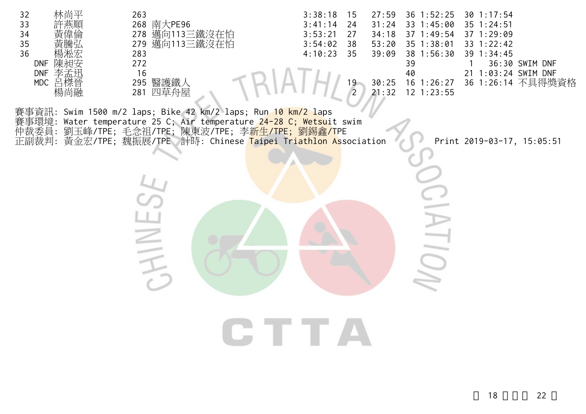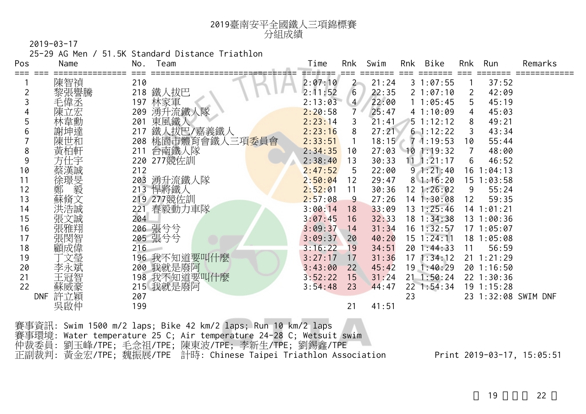

25-29 AG Men / 51.5K Standard Distance Triathlon

| Pos<br>Name | No.                                                                                                                                                                | Team                                   | Time                                                                                                                                                                                                                                           | Rnk     | Swim                                                                                                                                                                                                                                                                                      |                                                                                                          | Bike                                   | Rnk                                                                                                                                                                                                                                                                                                                                                        | Run   | Remarks                                                                                                                                                                                                                    |
|-------------|--------------------------------------------------------------------------------------------------------------------------------------------------------------------|----------------------------------------|------------------------------------------------------------------------------------------------------------------------------------------------------------------------------------------------------------------------------------------------|---------|-------------------------------------------------------------------------------------------------------------------------------------------------------------------------------------------------------------------------------------------------------------------------------------------|----------------------------------------------------------------------------------------------------------|----------------------------------------|------------------------------------------------------------------------------------------------------------------------------------------------------------------------------------------------------------------------------------------------------------------------------------------------------------------------------------------------------------|-------|----------------------------------------------------------------------------------------------------------------------------------------------------------------------------------------------------------------------------|
|             |                                                                                                                                                                    |                                        |                                                                                                                                                                                                                                                |         |                                                                                                                                                                                                                                                                                           |                                                                                                          |                                        |                                                                                                                                                                                                                                                                                                                                                            |       |                                                                                                                                                                                                                            |
|             |                                                                                                                                                                    |                                        |                                                                                                                                                                                                                                                |         |                                                                                                                                                                                                                                                                                           |                                                                                                          |                                        | 2                                                                                                                                                                                                                                                                                                                                                          |       |                                                                                                                                                                                                                            |
|             |                                                                                                                                                                    |                                        |                                                                                                                                                                                                                                                |         |                                                                                                                                                                                                                                                                                           |                                                                                                          |                                        | 5.                                                                                                                                                                                                                                                                                                                                                         |       |                                                                                                                                                                                                                            |
|             |                                                                                                                                                                    |                                        |                                                                                                                                                                                                                                                |         | 25:47                                                                                                                                                                                                                                                                                     |                                                                                                          |                                        | 4                                                                                                                                                                                                                                                                                                                                                          | 45:03 |                                                                                                                                                                                                                            |
|             | 201                                                                                                                                                                |                                        |                                                                                                                                                                                                                                                | 3       | 21:41                                                                                                                                                                                                                                                                                     |                                                                                                          |                                        | 8                                                                                                                                                                                                                                                                                                                                                          | 49:21 |                                                                                                                                                                                                                            |
| b           | 217                                                                                                                                                                |                                        |                                                                                                                                                                                                                                                | 8       |                                                                                                                                                                                                                                                                                           |                                                                                                          |                                        | 3                                                                                                                                                                                                                                                                                                                                                          | 43:34 |                                                                                                                                                                                                                            |
|             |                                                                                                                                                                    |                                        |                                                                                                                                                                                                                                                |         |                                                                                                                                                                                                                                                                                           |                                                                                                          |                                        | 10                                                                                                                                                                                                                                                                                                                                                         | 55:44 |                                                                                                                                                                                                                            |
| 8           |                                                                                                                                                                    |                                        |                                                                                                                                                                                                                                                | 10      |                                                                                                                                                                                                                                                                                           |                                                                                                          |                                        | 7                                                                                                                                                                                                                                                                                                                                                          | 48:00 |                                                                                                                                                                                                                            |
| 方仕宇<br>9    |                                                                                                                                                                    |                                        |                                                                                                                                                                                                                                                | 13      | 30:33                                                                                                                                                                                                                                                                                     |                                                                                                          |                                        | 6                                                                                                                                                                                                                                                                                                                                                          | 46:52 |                                                                                                                                                                                                                            |
| 10          | 212                                                                                                                                                                |                                        |                                                                                                                                                                                                                                                | 5       | 22:00                                                                                                                                                                                                                                                                                     |                                                                                                          |                                        |                                                                                                                                                                                                                                                                                                                                                            |       |                                                                                                                                                                                                                            |
| 11          | 203                                                                                                                                                                |                                        |                                                                                                                                                                                                                                                | 12      | 29:47                                                                                                                                                                                                                                                                                     |                                                                                                          |                                        |                                                                                                                                                                                                                                                                                                                                                            |       |                                                                                                                                                                                                                            |
| 12          |                                                                                                                                                                    |                                        | 2:52:01                                                                                                                                                                                                                                        | 11      | 30:36                                                                                                                                                                                                                                                                                     |                                                                                                          |                                        | 9                                                                                                                                                                                                                                                                                                                                                          | 55:24 |                                                                                                                                                                                                                            |
| 13          |                                                                                                                                                                    |                                        |                                                                                                                                                                                                                                                | 9       | 27:26                                                                                                                                                                                                                                                                                     |                                                                                                          |                                        | 12                                                                                                                                                                                                                                                                                                                                                         |       |                                                                                                                                                                                                                            |
| 14          |                                                                                                                                                                    |                                        |                                                                                                                                                                                                                                                | 18      | 33:09                                                                                                                                                                                                                                                                                     |                                                                                                          |                                        |                                                                                                                                                                                                                                                                                                                                                            |       |                                                                                                                                                                                                                            |
| 15          |                                                                                                                                                                    |                                        |                                                                                                                                                                                                                                                | 16      |                                                                                                                                                                                                                                                                                           |                                                                                                          |                                        |                                                                                                                                                                                                                                                                                                                                                            |       |                                                                                                                                                                                                                            |
| 16          |                                                                                                                                                                    |                                        |                                                                                                                                                                                                                                                | 14      |                                                                                                                                                                                                                                                                                           |                                                                                                          |                                        |                                                                                                                                                                                                                                                                                                                                                            |       |                                                                                                                                                                                                                            |
| 17          |                                                                                                                                                                    |                                        |                                                                                                                                                                                                                                                |         |                                                                                                                                                                                                                                                                                           |                                                                                                          |                                        |                                                                                                                                                                                                                                                                                                                                                            |       |                                                                                                                                                                                                                            |
| 18          |                                                                                                                                                                    |                                        |                                                                                                                                                                                                                                                |         |                                                                                                                                                                                                                                                                                           |                                                                                                          |                                        |                                                                                                                                                                                                                                                                                                                                                            |       |                                                                                                                                                                                                                            |
| 19          |                                                                                                                                                                    |                                        |                                                                                                                                                                                                                                                |         |                                                                                                                                                                                                                                                                                           |                                                                                                          |                                        |                                                                                                                                                                                                                                                                                                                                                            |       |                                                                                                                                                                                                                            |
| 20          |                                                                                                                                                                    |                                        |                                                                                                                                                                                                                                                |         |                                                                                                                                                                                                                                                                                           |                                                                                                          |                                        |                                                                                                                                                                                                                                                                                                                                                            |       |                                                                                                                                                                                                                            |
| 21          |                                                                                                                                                                    |                                        |                                                                                                                                                                                                                                                |         |                                                                                                                                                                                                                                                                                           |                                                                                                          |                                        |                                                                                                                                                                                                                                                                                                                                                            |       |                                                                                                                                                                                                                            |
| 22          |                                                                                                                                                                    |                                        |                                                                                                                                                                                                                                                |         |                                                                                                                                                                                                                                                                                           |                                                                                                          |                                        |                                                                                                                                                                                                                                                                                                                                                            |       |                                                                                                                                                                                                                            |
| <b>DNF</b>  |                                                                                                                                                                    |                                        |                                                                                                                                                                                                                                                |         |                                                                                                                                                                                                                                                                                           |                                                                                                          |                                        |                                                                                                                                                                                                                                                                                                                                                            |       |                                                                                                                                                                                                                            |
|             |                                                                                                                                                                    |                                        |                                                                                                                                                                                                                                                |         |                                                                                                                                                                                                                                                                                           |                                                                                                          |                                        |                                                                                                                                                                                                                                                                                                                                                            |       |                                                                                                                                                                                                                            |
|             | 陳智禎<br>黎張譽騰<br>毛偉丞<br>陳立宏<br>林韋勳<br>謝坤達<br>陳世和<br>黃柏軒<br>蔡漢誠<br>徐璟旻<br>毅<br>鄭 毅<br>蘇脩文<br>洪浩誠<br>張文誠<br>張雅翔<br>張閔智<br>顧成偉<br>文瑩<br>李永斌<br>王冠智<br>蘇威豪<br>許立穎<br>吳啟仲 | 210<br>209<br>204<br>216<br>207<br>199 | 218 鐵人拔巴<br>197 <u>林家軍</u><br>湧升流鐵人隊<br>東風鐵人<br>鐵人拔巴/嘉義鐵人<br>208 桃園市體育會鐵人三項委員會<br>211 台南鐵人隊<br>220 277競佐訓<br>湧升流鐵人隊<br>213 悍將鐵人<br>219 277競佐訓<br>春毅動力車隊<br>221<br>206 張兮兮<br>205 張兮兮<br>196 我不知道要叫什麼<br>200 我就是廢阿<br>198 我不知道要叫什麼<br>215 我就是廢阿 | 3:27:17 | 2:07:10<br>2:11:52<br>6<br>2:13:03<br>$\overline{4}$<br>2:20:58<br>2:23:14<br>2:23:16<br>2:33:51<br>2:34:35<br>2:38:40<br>2:47:52<br>2:50:04<br>2:57:08<br>3:00:14<br>3:07:45<br>3:09:37<br>3:09:37<br>20<br>3:16:22<br>19<br>17<br>3:43:00<br>22<br>3:52:22<br>15<br>3:54:48<br>23<br>21 | $2 -$<br>22:35<br>22:00<br>32:33<br>31:34<br>40:20<br>34:51<br>31:36<br>45:42<br>31:24<br>44:47<br>41:51 | 21:24<br>27:21<br>18:15<br>27:03<br>23 | Rnk<br>=======<br>31:07:55<br>21:07:10<br>11:05:45<br>41:10:09<br>51:12:12<br>$6 - 1:12:22$<br>$7 \cdot 1:19:53$<br>$10$ 1:19:32<br>$11 \t1:21:17$<br>91:21:40<br>81:16:20<br>$12 \; 1:26:02$<br>$14$ 1:30:08<br>$13 \t1:25:46$<br>18 1:34:38<br>$16$ 1:32:57<br>$15 \t1:24:11$<br>20 1:44:33<br>171:34:12<br>19 1:40:29<br>$21 \t1:50:24$<br>$22$ 1:54:34 | 11    | 37:52<br>42:09<br>45:19<br>$16$ 1:04:13<br>$15$ $1:03:58$<br>59:35<br>$14$ 1:01:21<br>13 1:00:36<br>171:05:07<br>18 1:05:08<br>56:59<br>$21 \t1:21:29$<br>201:16:50<br>$22$ 1:30:36<br>$19$ 1:15:28<br>23 1:32:08 SWIM DNF |

| 賽事資訊: Swim 1500 m/2 laps; Bike 42 km/2 laps; Run 10 km/2 laps       |  |
|---------------------------------------------------------------------|--|
| 賽事環境: Water temperature 25 C; Air temperature 24-28 C; Wetsuit swim |  |
| 仲裁委員:劉玉峰/TPE;毛念祖/TPE;陳東波/TPE;李新生/TPE;劉錫鑫/TPE:                       |  |
| 正副裁判: 黃金宏/TPE; 魏振展/TPE 計時: Chinese Taipei Triathlon Association     |  |

Print 2019-03-17, 15:05:51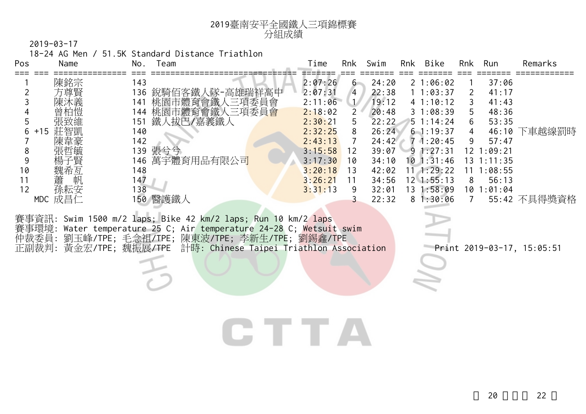

18-24 AG Men / 51.5K Standard Distance Triathlon

ち

| Pos | Name         | No. | Team                                                                                                                                                                                      | Time    | Rnk          | Swim           | Rnk | Bike               | Rnk             | Run            | Remarks                    |
|-----|--------------|-----|-------------------------------------------------------------------------------------------------------------------------------------------------------------------------------------------|---------|--------------|----------------|-----|--------------------|-----------------|----------------|----------------------------|
|     | 陳銘宗          | 143 |                                                                                                                                                                                           | 2:07:26 |              | 24:20<br>$6 -$ |     | 21:06:02           |                 | 37:06          |                            |
|     | 方尊賢          |     | 136 銳騎佰客鐵人隊-高雄瑞祥高中                                                                                                                                                                        | 2:07:31 | 4            | 22:38          |     | 11:03:37           | <sup>2</sup>    | 41:17          |                            |
|     | 陳沐義          | 141 | 桃園市體育會鐵人三項委員會                                                                                                                                                                             | 2:11:06 |              | 19:12          |     | 41:10:12           | 3               | 41:43          |                            |
|     | 曾柏愷          |     | 144 桃園市體育會鐵人三項委員會                                                                                                                                                                         | 2:18:02 | $\mathbf{2}$ | 20:48          |     | 31:08:39           | 5.              | 48:36          |                            |
|     | 張致維          | 151 | 鐵人拔巴/嘉義鐵人                                                                                                                                                                                 | 2:30:21 | 5            | 22:22          |     | $5 \t1:14:24$      | 6               | 53:35          |                            |
| 6   | 莊智凱<br>$+15$ | 140 |                                                                                                                                                                                           | 2:32:25 | 8            | 26:24          |     | $6 - 1:19:37$      | 4               | 46:10          | 下車越線罰時                     |
|     | 陳韋豪          | 142 |                                                                                                                                                                                           | 2:43:13 |              | 24:42          |     | $7 \cdot 1:20:45$  | 9               | 57:47          |                            |
| 8   | 張哲毓          |     | 139 張兮兮                                                                                                                                                                                   | 3:15:58 | 12           | 39:07          |     | $9 \; 1:27:31$     |                 | $12 \t1:09:21$ |                            |
|     | 楊子賢          |     | 146 萬宇體育用品有限公司                                                                                                                                                                            | 3:17:30 | 10           | 34:10          |     | $10 \t1:31:46$     |                 | $13 \t1:11:35$ |                            |
| 10  | 魏希亙          | 148 |                                                                                                                                                                                           | 3:20:18 | 13           | 42:02          |     | $11 \quad 1:29:22$ |                 | $11 \t1:08:55$ |                            |
| 11  | 蕭<br>帆       | 147 |                                                                                                                                                                                           | 3:26:21 | 11           | 34:56          |     | $12 \, 1:55:13$    | 8               | 56:13          |                            |
| 12  | 孫耘安          | 138 |                                                                                                                                                                                           | 3:31:13 | 9            | 32:01          |     | 13 1:58:09         |                 | 101:01:04      |                            |
|     | MDC 成昌仁      |     | 150 醫護鐵人                                                                                                                                                                                  |         |              | 22:32          |     | 81:30:06           | $7\overline{ }$ |                | 55:42 不具得獎資格               |
|     |              |     | 賽事資訊: Swim 1500 m/2 laps; Bike 42 km/2 laps; Run 10 km/2 laps<br>賽事環境: Water temperature 25 C; Air temperature 24-28 C; Wetsuit swim<br>仲裁委員: 劉玉峰/TPE; 毛念祖/TPE; 陳東波/TPE; 李新生/TPE; 劉錫鑫/TPE |         |              |                |     |                    |                 |                |                            |
|     |              |     | 正副裁判: 黃金宏/TPE; 魏振展/TPE 計時: Chinese Taipei Triathlon Association                                                                                                                           |         |              |                |     |                    |                 |                | Print 2019-03-17, 15:05:51 |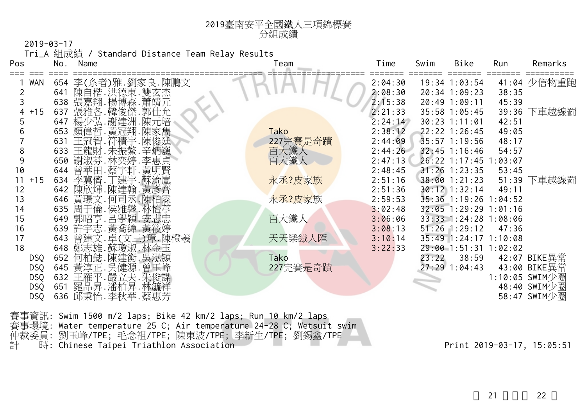|                |     |                                    | Tri_A 組成績 / Standard Distance Team Relay Results |             |         |       |                       |       |                |
|----------------|-----|------------------------------------|--------------------------------------------------|-------------|---------|-------|-----------------------|-------|----------------|
| Pos            | No. | Name                               |                                                  | Team        | Time    | Swim  | Bike                  | Run   | Remarks        |
| <b>WAN</b>     |     | 654 李(糸者)雅.劉家良.陳鵬文                 |                                                  |             | 2:04:30 |       | $19:34$ $1:03:54$     |       | 41:04 少信物重跑    |
| $\overline{2}$ |     |                                    |                                                  |             | 2:08:30 |       | 20:34 1:09:23         | 38:35 |                |
|                |     | 641 陳自楷.洪德東.雙玄杰<br>638 張嘉翔.楊博森.蕭靖元 |                                                  |             | 2:15:38 |       | 20:49 1:09:11         | 45:39 |                |
| $+15$<br>4     |     | 637 張雅各. 韓俊傑. 郭仕允                  |                                                  |             | 2:21:33 |       | 35:58 1:05:45         | 39:36 | 下車越線罰          |
|                |     | 647 楊少弘. 謝建洲. 陳元培                  |                                                  |             | 2:24:14 |       | $30:23$ 1:11:01       | 42:51 |                |
| 6              | 653 | 顏偉哲. 黃冠翔. 陳家雋                      |                                                  | <b>Tako</b> | 2:38:12 |       | $22:22$ 1:26:45       | 49:05 |                |
|                | 631 | 王冠智.符積宇.陳俊廷                        |                                                  | 227完賽是奇蹟    | 2:44:09 |       | $35:57$ 1:19:56       | 48:17 |                |
| 8              | 633 | 王龍財.朱振鰲.辛炳巍                        |                                                  | 百大鐵人        | 2:44:26 |       | $32:45$ 1:16:46       | 54:57 |                |
| 9              | 650 | 謝淑芬.林奕婷.李惠貞                        |                                                  | 百大鐵人        | 2:47:13 |       | 26:22 1:17:45 1:03:07 |       |                |
| 10             |     | 644 曾華田.蔡宇軒.黃明賢                    |                                                  |             | 2:48:45 |       | $31:26$ 1:23:35       | 53:45 |                |
| 11<br>$+15$    |     | 634 李冀儕.丁建宇.蘇渝嵐                    |                                                  | 永丞?皮家族      | 2:51:16 |       | 38:00 1:21:23         | 51:39 | 下車越線罰          |
| 12             |     | 642 陳欣煇.陳建翰.黃彥齊                    |                                                  |             | 2:51:36 |       | $30:12$ 1:32:14       | 49:11 |                |
| 13             |     | 646 黃璟文. 何司丞. 陳柏霖                  |                                                  | 永丞?皮家族      | 2:59:53 |       | 35:36 1:19:26 1:04:52 |       |                |
| 14             |     | 635 周于倫.侯雅馨.林怡葶                    |                                                  |             | 3:02:48 |       | 32:05 1:29:29 1:01:16 |       |                |
| 15             | 649 | 郭昭亨.呂學穎.安志忠                        |                                                  | 百大鐵人        | 3:06:06 |       | 33:33 1:24:28 1:08:06 |       |                |
| 16             | 639 | 許宇志.黃喬緯.黃筱婷                        |                                                  |             | 3:08:13 |       | $51:26$ $1:29:12$     | 47:36 |                |
| 17             | 643 | 曾建文. 卓(文三)璋. 陳橙羲                   |                                                  | 天天樂鐵人匯      | 3:10:14 |       | 35:49 1:24:17 1:10:08 |       |                |
| 18             |     | 648 鄭志雄. 蘇瓊淑. 林金玉                  |                                                  |             | 3:22:33 |       | 29:00 1:51:31 1:02:02 |       |                |
| <b>DSQ</b>     | 652 | 何柏鋕.陳建衡.吳泓潁                        |                                                  | Tako        |         | 23:22 | 38:59                 |       | 42:07 BIKE異常   |
| <b>DSQ</b>     |     | 645 黃淳正. 吳健源. 曾玉峰                  |                                                  | 227完賽是奇蹟    |         |       | $27:29$ 1:04:43       |       | 43:00 BIKE異常   |
| <b>DSQ</b>     |     | 632 王雁平. 嚴立夫. 朱俊謀                  |                                                  |             |         |       |                       |       | 1:10:05 SWIM少圈 |
| <b>DSQ</b>     |     | 651 羅品昇.潘柏昇.林毓祥                    |                                                  |             |         |       |                       |       | 48:40 SWIM少圈   |
| <b>DSQ</b>     |     | 636 邱秉怡.李秋華.蔡惠芳                    |                                                  |             |         |       |                       |       | 58:47 SWIM少圈   |
|                |     |                                    |                                                  |             |         |       |                       |       |                |

賽事資訊: Swim 1500 m/2 laps; Bike 42 km/2 laps; Run 10 km/2 laps 賽事環境: Water temperature 25 C; Air temperature 24-28 C; Wetsuit swim 仲裁委員: 劉玉峰/TPE; 毛念祖/TPE; 陳東波/TPE; 李新生/TPE; 劉錫鑫/TPE 計 時: Chinese Taipei Triathlon Association Print 2019-03-17, 15:05:51

<sup>2019</sup>臺南安平全國鐵人三項錦標賽 分組成績